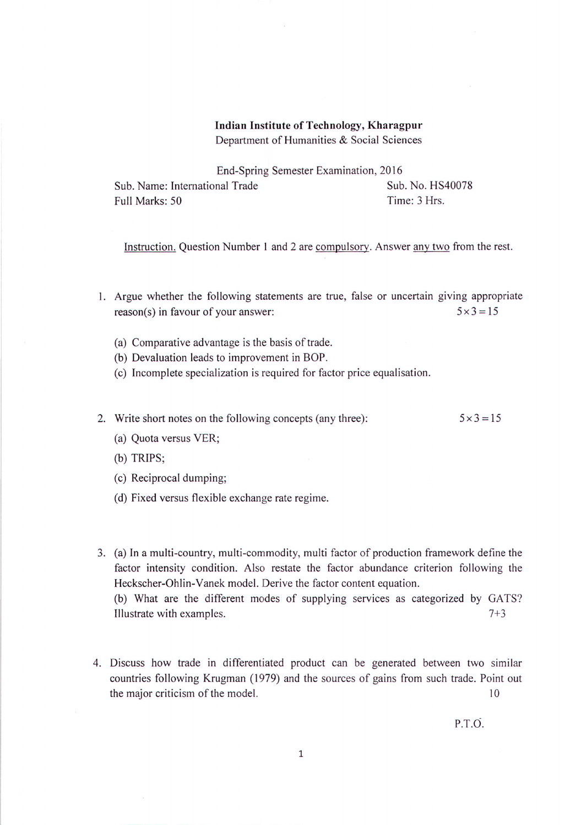## **Indian Institute of Technology, Kharagpur** Department of Humanities & Social Sciences

End-Spring Semester Examination, 2016 Sub. Name: International Trade Sub. No. HS40078 Full Marks: 50 Time: 3 Hrs.

Instruction. Question Number I and 2 are compulsory. Answer any two from the rest.

- I. Argue whether the following statements are true, false or uncertain giving appropriate reason(s) in favour of your answer:  $5 \times 3 = 15$ 
	- (a) Comparative advantage is the basis of trade.
	- (b) Devaluation leads to improvement in BOP.
	- (c) Incomplete specialization is required for factor price equalisation.
- 2. Write short notes on the following concepts (any three):  $5 \times 3 = 15$ 
	- (a) Quota versus VER;
	- (b) TRIPS;
	- (c) Reciprocal dumping;
	- (d) Fixed versus flexible exchange rate regime.
- 3. (a) In a multi-country, multi-commodity, multi factor of production framework define the factor intensity condition. Also restate the factor abundance criterion following the Heckscher-Ohlin- Vanek model. Derive the factor content equation. (b) What are the different modes of supplying services as categorized by GATS? Illustrate with examples. 7+3
- 4. Discuss how trade in differentiated product can be generated between two similar countries following Krugman (1979) and the sources of gains from such trade. Point out the major criticism of the model. 10

P.T.O.